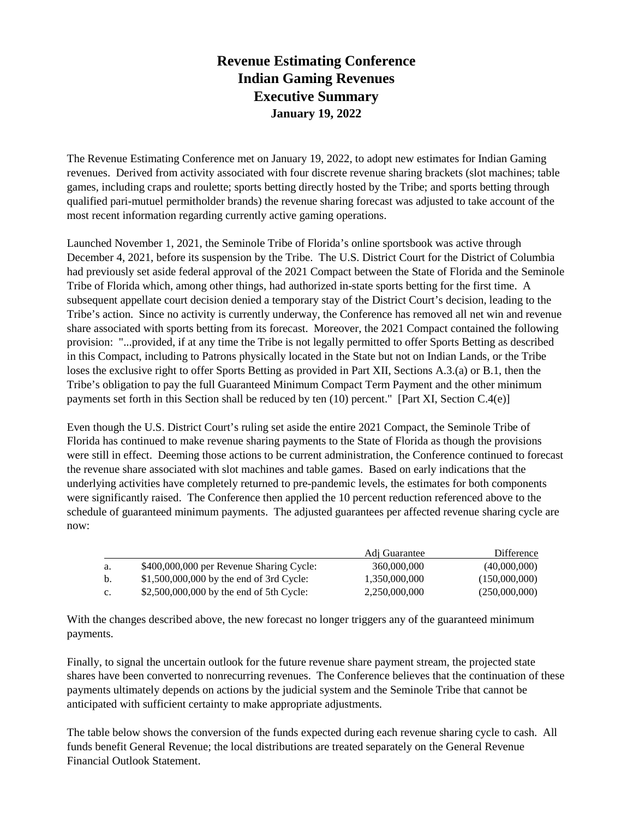## **Revenue Estimating Conference Indian Gaming Revenues Executive Summary January 19, 2022**

The Revenue Estimating Conference met on January 19, 2022, to adopt new estimates for Indian Gaming revenues. Derived from activity associated with four discrete revenue sharing brackets (slot machines; table games, including craps and roulette; sports betting directly hosted by the Tribe; and sports betting through qualified pari-mutuel permitholder brands) the revenue sharing forecast was adjusted to take account of the most recent information regarding currently active gaming operations.

Launched November 1, 2021, the Seminole Tribe of Florida's online sportsbook was active through December 4, 2021, before its suspension by the Tribe. The U.S. District Court for the District of Columbia had previously set aside federal approval of the 2021 Compact between the State of Florida and the Seminole Tribe of Florida which, among other things, had authorized in-state sports betting for the first time. A subsequent appellate court decision denied a temporary stay of the District Court's decision, leading to the Tribe's action. Since no activity is currently underway, the Conference has removed all net win and revenue share associated with sports betting from its forecast. Moreover, the 2021 Compact contained the following provision: "...provided, if at any time the Tribe is not legally permitted to offer Sports Betting as described in this Compact, including to Patrons physically located in the State but not on Indian Lands, or the Tribe loses the exclusive right to offer Sports Betting as provided in Part XII, Sections A.3.(a) or B.1, then the Tribe's obligation to pay the full Guaranteed Minimum Compact Term Payment and the other minimum payments set forth in this Section shall be reduced by ten (10) percent." [Part XI, Section C.4(e)]

Even though the U.S. District Court's ruling set aside the entire 2021 Compact, the Seminole Tribe of Florida has continued to make revenue sharing payments to the State of Florida as though the provisions were still in effect. Deeming those actions to be current administration, the Conference continued to forecast the revenue share associated with slot machines and table games. Based on early indications that the underlying activities have completely returned to pre-pandemic levels, the estimates for both components were significantly raised. The Conference then applied the 10 percent reduction referenced above to the schedule of guaranteed minimum payments. The adjusted guarantees per affected revenue sharing cycle are now:

|    |                                           | Adj Guarantee | Difference    |
|----|-------------------------------------------|---------------|---------------|
| a. | \$400,000,000 per Revenue Sharing Cycle:  | 360,000,000   | (40,000,000)  |
| b. | $$1,500,000,000$ by the end of 3rd Cycle: | 1.350.000.000 | (150,000,000) |
| c. | \$2,500,000,000 by the end of 5th Cycle:  | 2,250,000,000 | (250,000,000) |

With the changes described above, the new forecast no longer triggers any of the guaranteed minimum payments.

Finally, to signal the uncertain outlook for the future revenue share payment stream, the projected state shares have been converted to nonrecurring revenues. The Conference believes that the continuation of these payments ultimately depends on actions by the judicial system and the Seminole Tribe that cannot be anticipated with sufficient certainty to make appropriate adjustments.

The table below shows the conversion of the funds expected during each revenue sharing cycle to cash. All funds benefit General Revenue; the local distributions are treated separately on the General Revenue Financial Outlook Statement.